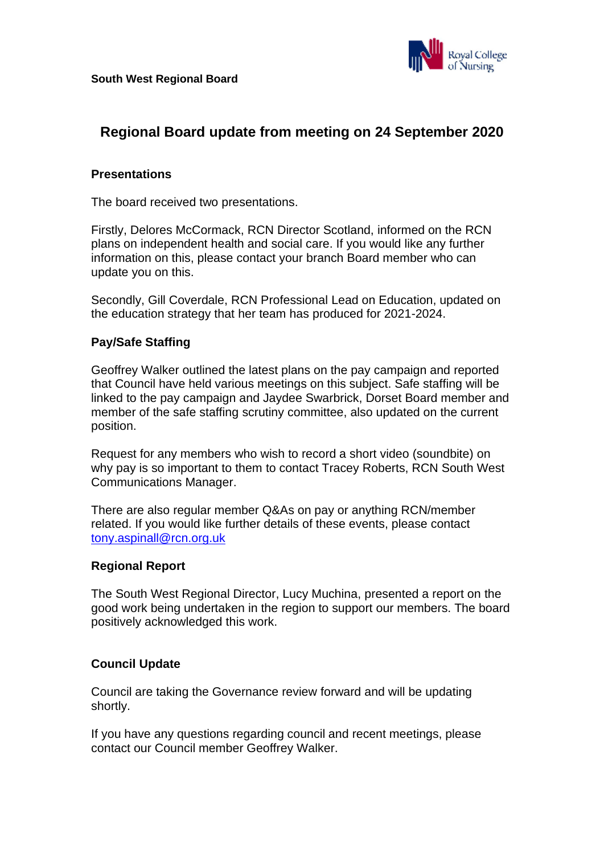

# **Regional Board update from meeting on 24 September 2020**

#### **Presentations**

The board received two presentations.

Firstly, Delores McCormack, RCN Director Scotland, informed on the RCN plans on independent health and social care. If you would like any further information on this, please contact your branch Board member who can update you on this.

Secondly, Gill Coverdale, RCN Professional Lead on Education, updated on the education strategy that her team has produced for 2021-2024.

#### **Pay/Safe Staffing**

Geoffrey Walker outlined the latest plans on the pay campaign and reported that Council have held various meetings on this subject. Safe staffing will be linked to the pay campaign and Jaydee Swarbrick, Dorset Board member and member of the safe staffing scrutiny committee, also updated on the current position.

Request for any members who wish to record a short video (soundbite) on why pay is so important to them to contact Tracey Roberts, RCN South West Communications Manager.

There are also regular member Q&As on pay or anything RCN/member related. If you would like further details of these events, please contact [tony.aspinall@rcn.org.uk](mailto:tony.aspinall@rcn.org.uk)

#### **Regional Report**

The South West Regional Director, Lucy Muchina, presented a report on the good work being undertaken in the region to support our members. The board positively acknowledged this work.

### **Council Update**

Council are taking the Governance review forward and will be updating shortly.

If you have any questions regarding council and recent meetings, please contact our Council member Geoffrey Walker.